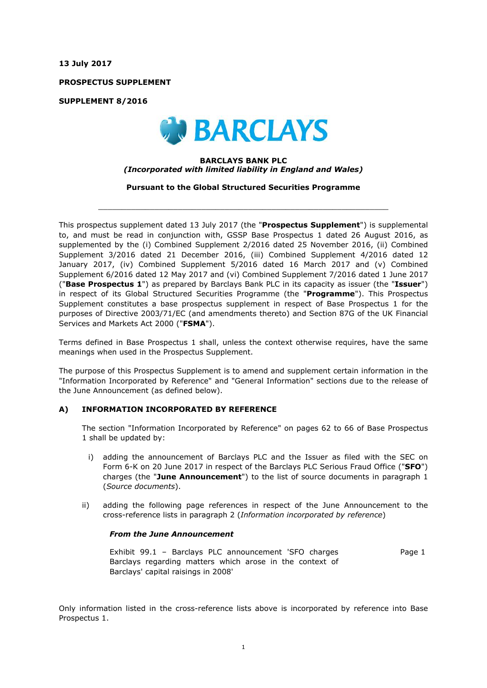**13 July 2017**

**PROSPECTUS SUPPLEMENT**

**SUPPLEMENT 8/2016**



## **BARCLAYS BANK PLC** *(Incorporated with limited liability in England and Wales)*

**Pursuant to the Global Structured Securities Programme**

 $\_$  ,  $\_$  ,  $\_$  ,  $\_$  ,  $\_$  ,  $\_$  ,  $\_$  ,  $\_$  ,  $\_$  ,  $\_$  ,  $\_$  ,  $\_$  ,  $\_$  ,  $\_$  ,  $\_$  ,  $\_$  ,  $\_$  ,  $\_$  ,  $\_$  ,  $\_$  ,  $\_$  ,  $\_$  ,  $\_$  ,  $\_$  ,  $\_$  ,  $\_$  ,  $\_$  ,  $\_$  ,  $\_$  ,  $\_$  ,  $\_$  ,  $\_$  ,  $\_$  ,  $\_$  ,  $\_$  ,  $\_$  ,  $\_$  ,

This prospectus supplement dated 13 July 2017 (the "**Prospectus Supplement**") is supplemental to, and must be read in conjunction with, GSSP Base Prospectus 1 dated 26 August 2016, as supplemented by the (i) Combined Supplement 2/2016 dated 25 November 2016, (ii) Combined Supplement 3/2016 dated 21 December 2016, (iii) Combined Supplement 4/2016 dated 12 January 2017, (iv) Combined Supplement 5/2016 dated 16 March 2017 and (v) Combined Supplement 6/2016 dated 12 May 2017 and (vi) Combined Supplement 7/2016 dated 1 June 2017 ("**Base Prospectus 1**") as prepared by Barclays Bank PLC in its capacity as issuer (the "**Issuer**") in respect of its Global Structured Securities Programme (the "**Programme**"). This Prospectus Supplement constitutes a base prospectus supplement in respect of Base Prospectus 1 for the purposes of Directive 2003/71/EC (and amendments thereto) and Section 87G of the UK Financial Services and Markets Act 2000 ("**FSMA**").

Terms defined in Base Prospectus 1 shall, unless the context otherwise requires, have the same meanings when used in the Prospectus Supplement.

The purpose of this Prospectus Supplement is to amend and supplement certain information in the "Information Incorporated by Reference" and "General Information" sections due to the release of the June Announcement (as defined below).

## **A) INFORMATION INCORPORATED BY REFERENCE**

The section "Information Incorporated by Reference" on pages 62 to 66 of Base Prospectus 1 shall be updated by:

- i) adding the announcement of Barclays PLC and the Issuer as filed with the SEC on Form 6-K on 20 June 2017 in respect of the Barclays PLC Serious Fraud Office ("**SFO**") charges (the "**June Announcement**") to the list of source documents in paragraph 1 (*Source documents*).
- ii) adding the following page references in respect of the June Announcement to the cross-reference lists in paragraph 2 (*Information incorporated by reference*)

## *From the June Announcement*

Exhibit 99.1 – Barclays PLC announcement 'SFO charges Barclays regarding matters which arose in the context of Barclays' capital raisings in 2008' Page 1

Only information listed in the cross-reference lists above is incorporated by reference into Base Prospectus 1.